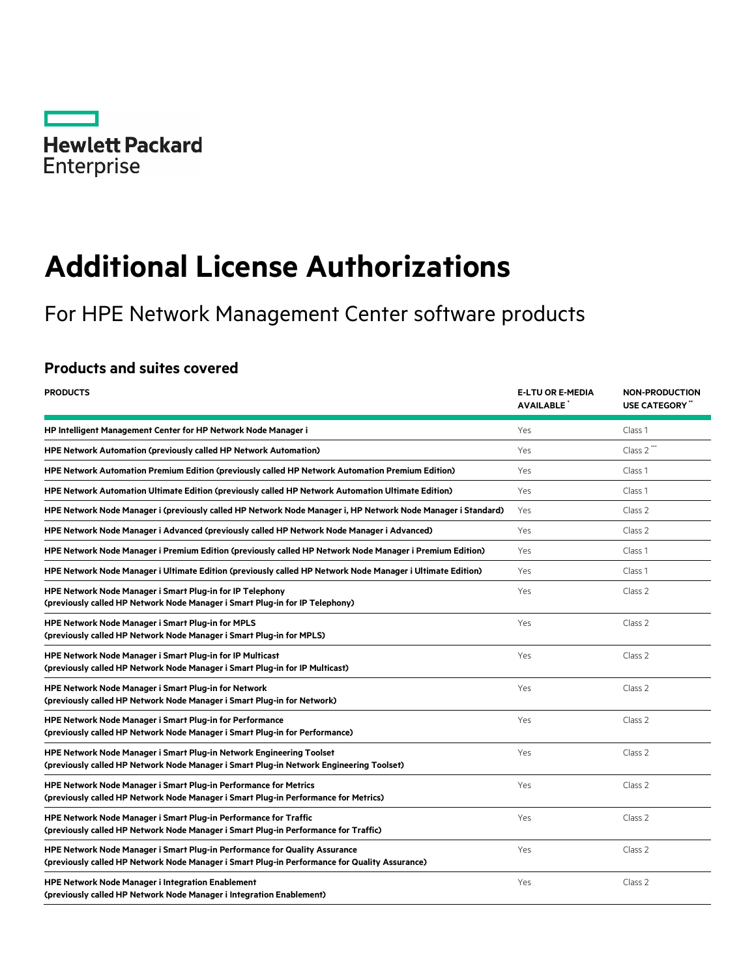

# **Additional License Authorizations**

For HPE Network Management Center software products

# **Products and suites covered**

| <b>PRODUCTS</b>                                                                                                                                                             | <b>E-LTU OR E-MEDIA</b><br><b>AVAILABLE</b> | <b>NON-PRODUCTION</b><br>USE CATEGORY " |
|-----------------------------------------------------------------------------------------------------------------------------------------------------------------------------|---------------------------------------------|-----------------------------------------|
| HP Intelligent Management Center for HP Network Node Manager i                                                                                                              | Yes                                         | Class 1                                 |
| <b>HPE Network Automation (previously called HP Network Automation)</b>                                                                                                     | Yes                                         | Class $2$ ""                            |
| HPE Network Automation Premium Edition (previously called HP Network Automation Premium Edition)                                                                            | Yes                                         | Class 1                                 |
| HPE Network Automation Ultimate Edition (previously called HP Network Automation Ultimate Edition)                                                                          | Yes                                         | Class 1                                 |
| HPE Network Node Manager i (previously called HP Network Node Manager i, HP Network Node Manager i Standard)                                                                | Yes                                         | Class 2                                 |
| HPE Network Node Manager i Advanced (previously called HP Network Node Manager i Advanced)                                                                                  | Yes                                         | Class 2                                 |
| HPE Network Node Manager i Premium Edition (previously called HP Network Node Manager i Premium Edition)                                                                    | Yes                                         | Class 1                                 |
| HPE Network Node Manager i Ultimate Edition (previously called HP Network Node Manager i Ultimate Edition)                                                                  | Yes                                         | Class 1                                 |
| HPE Network Node Manager i Smart Plug-in for IP Telephony<br>(previously called HP Network Node Manager i Smart Plug-in for IP Telephony)                                   | Yes                                         | Class 2                                 |
| HPE Network Node Manager i Smart Plug-in for MPLS<br>(previously called HP Network Node Manager i Smart Plug-in for MPLS)                                                   | Yes                                         | Class 2                                 |
| <b>HPE Network Node Manager i Smart Plug-in for IP Multicast</b><br>(previously called HP Network Node Manager i Smart Plug-in for IP Multicast)                            | Yes                                         | Class 2                                 |
| HPE Network Node Manager i Smart Plug-in for Network<br>(previously called HP Network Node Manager i Smart Plug-in for Network)                                             | Yes                                         | Class 2                                 |
| HPE Network Node Manager i Smart Plug-in for Performance<br>(previously called HP Network Node Manager i Smart Plug-in for Performance)                                     | Yes                                         | Class 2                                 |
| HPE Network Node Manager i Smart Plug-in Network Engineering Toolset<br>(previously called HP Network Node Manager i Smart Plug-in Network Engineering Toolset)             | Yes                                         | Class 2                                 |
| HPE Network Node Manager i Smart Plug-in Performance for Metrics<br>(previously called HP Network Node Manager i Smart Plug-in Performance for Metrics)                     | Yes                                         | Class 2                                 |
| HPE Network Node Manager i Smart Plug-in Performance for Traffic<br>(previously called HP Network Node Manager i Smart Plug-in Performance for Traffic)                     | Yes                                         | Class 2                                 |
| HPE Network Node Manager i Smart Plug-in Performance for Quality Assurance<br>(previously called HP Network Node Manager i Smart Plug-in Performance for Quality Assurance) | Yes                                         | Class 2                                 |
| <b>HPE Network Node Manager i Integration Enablement</b><br>(previously called HP Network Node Manager i Integration Enablement)                                            | Yes                                         | Class 2                                 |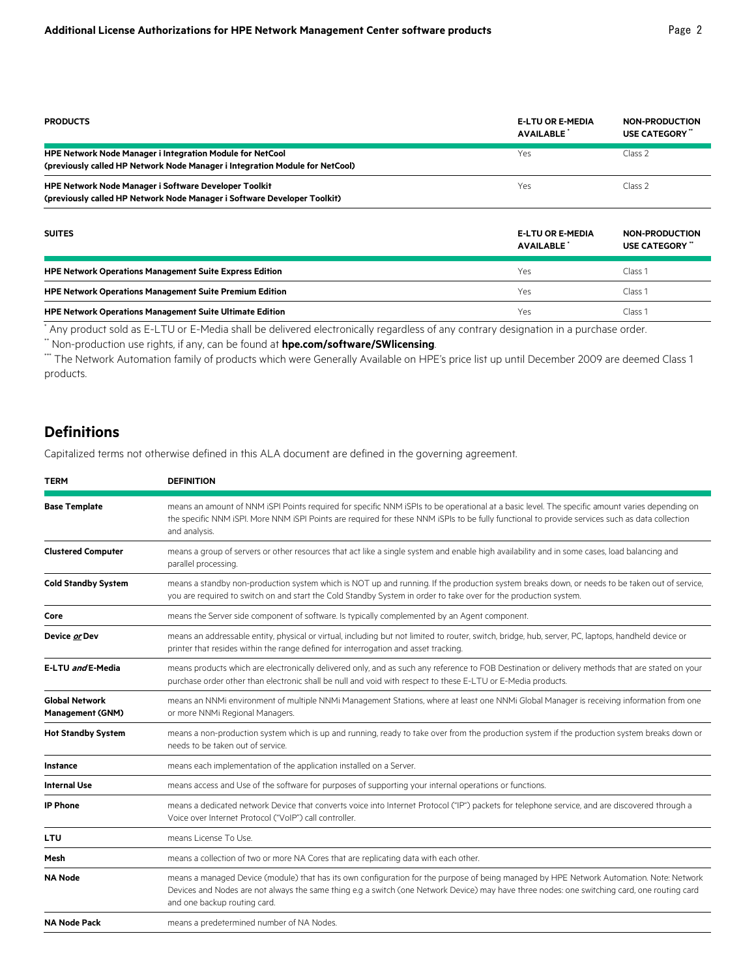| <b>PRODUCTS</b>                                                                                                                                  | <b>E-LTU OR E-MEDIA</b><br><b>AVAILABLE</b> | <b>NON-PRODUCTION</b><br>USE CATEGORY" |
|--------------------------------------------------------------------------------------------------------------------------------------------------|---------------------------------------------|----------------------------------------|
| <b>HPE Network Node Manager i Integration Module for NetCool</b><br>(previously called HP Network Node Manager i Integration Module for NetCool) | Yes                                         | Class 2                                |
| <b>HPE Network Node Manager i Software Developer Toolkit</b><br>(previously called HP Network Node Manager i Software Developer Toolkit)         | Yes                                         | Class 2                                |

| <b>SUITES</b>                                                   | <b>E-LTU OR E-MEDIA</b><br><b>AVAILABLE</b> | <b>NON-PRODUCTION</b><br>USE CATEGORY " |
|-----------------------------------------------------------------|---------------------------------------------|-----------------------------------------|
| <b>HPE Network Operations Management Suite Express Edition</b>  | Yes                                         | Class 1                                 |
| <b>HPE Network Operations Management Suite Premium Edition</b>  | Yes                                         | Class 1                                 |
| <b>HPE Network Operations Management Suite Ultimate Edition</b> | Yes                                         | Class 1                                 |

\* Any product sold as E-LTU or E-Media shall be delivered electronically regardless of any contrary designation in a purchase order.

\*\* Non-production use rights, if any, can be found at **[hpe.com/software/SWlicensing](http://www.hpe.com/software/SWlicensing)**.

\*\*\* The Network Automation family of products which were Generally Available on HPE's price list up until December 2009 are deemed Class 1 products.

# **Definitions**

Capitalized terms not otherwise defined in this ALA document are defined in the governing agreement.

| <b>TERM</b>                                      | <b>DEFINITION</b>                                                                                                                                                                                                                                                                                                        |
|--------------------------------------------------|--------------------------------------------------------------------------------------------------------------------------------------------------------------------------------------------------------------------------------------------------------------------------------------------------------------------------|
| <b>Base Template</b>                             | means an amount of NNM iSPI Points required for specific NNM iSPIs to be operational at a basic level. The specific amount varies depending on<br>the specific NNM iSPI. More NNM iSPI Points are required for these NNM iSPIs to be fully functional to provide services such as data collection<br>and analysis.       |
| <b>Clustered Computer</b>                        | means a group of servers or other resources that act like a single system and enable high availability and in some cases, load balancing and<br>parallel processing.                                                                                                                                                     |
| <b>Cold Standby System</b>                       | means a standby non-production system which is NOT up and running. If the production system breaks down, or needs to be taken out of service,<br>you are required to switch on and start the Cold Standby System in order to take over for the production system.                                                        |
| Core                                             | means the Server side component of software. Is typically complemented by an Agent component.                                                                                                                                                                                                                            |
| Device or Dev                                    | means an addressable entity, physical or virtual, including but not limited to router, switch, bridge, hub, server, PC, laptops, handheld device or<br>printer that resides within the range defined for interrogation and asset tracking.                                                                               |
| E-LTU and E-Media                                | means products which are electronically delivered only, and as such any reference to FOB Destination or delivery methods that are stated on your<br>purchase order other than electronic shall be null and void with respect to these E-LTU or E-Media products.                                                         |
| <b>Global Network</b><br><b>Management (GNM)</b> | means an NNMi environment of multiple NNMi Management Stations, where at least one NNMi Global Manager is receiving information from one<br>or more NNMi Regional Managers.                                                                                                                                              |
| <b>Hot Standby System</b>                        | means a non-production system which is up and running, ready to take over from the production system if the production system breaks down or<br>needs to be taken out of service.                                                                                                                                        |
| <b>Instance</b>                                  | means each implementation of the application installed on a Server.                                                                                                                                                                                                                                                      |
| <b>Internal Use</b>                              | means access and Use of the software for purposes of supporting your internal operations or functions.                                                                                                                                                                                                                   |
| <b>IP Phone</b>                                  | means a dedicated network Device that converts voice into Internet Protocol ("IP") packets for telephone service, and are discovered through a<br>Voice over Internet Protocol ("VoIP") call controller.                                                                                                                 |
| LTU                                              | means License To Use.                                                                                                                                                                                                                                                                                                    |
| Mesh                                             | means a collection of two or more NA Cores that are replicating data with each other.                                                                                                                                                                                                                                    |
| <b>NA Node</b>                                   | means a managed Device (module) that has its own configuration for the purpose of being managed by HPE Network Automation. Note: Network<br>Devices and Nodes are not always the same thing e.g a switch (one Network Device) may have three nodes: one switching card, one routing card<br>and one backup routing card. |
| <b>NA Node Pack</b>                              | means a predetermined number of NA Nodes.                                                                                                                                                                                                                                                                                |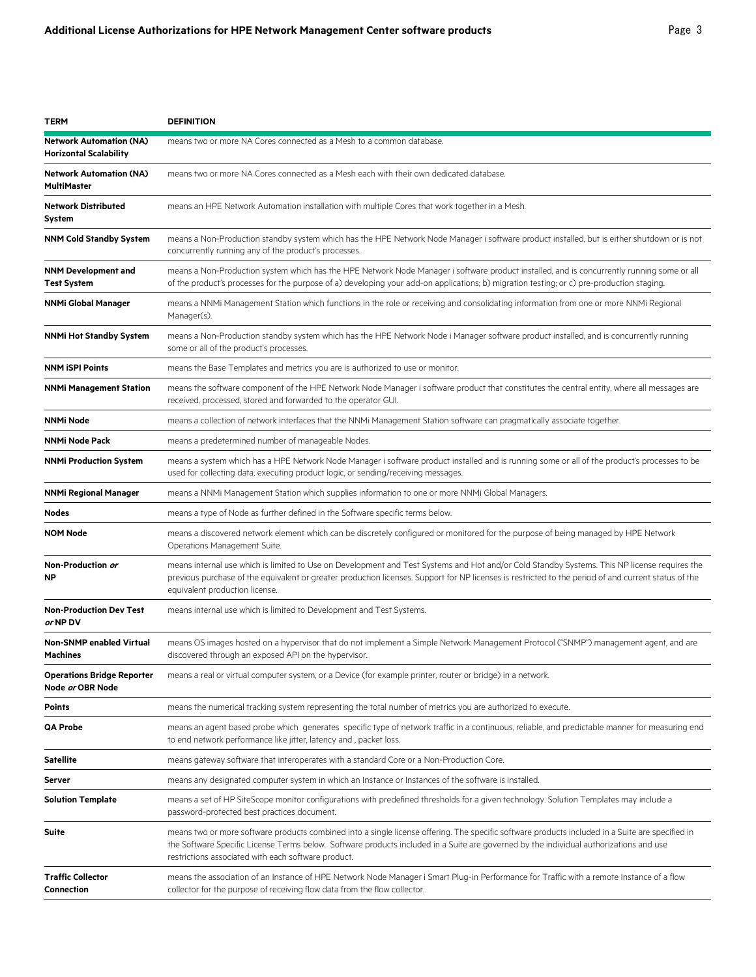| <b>TERM</b>                                                     | <b>DEFINITION</b>                                                                                                                                                                                                                                                                                                                                 |
|-----------------------------------------------------------------|---------------------------------------------------------------------------------------------------------------------------------------------------------------------------------------------------------------------------------------------------------------------------------------------------------------------------------------------------|
| <b>Network Automation (NA)</b><br><b>Horizontal Scalability</b> | means two or more NA Cores connected as a Mesh to a common database.                                                                                                                                                                                                                                                                              |
| <b>Network Automation (NA)</b><br><b>MultiMaster</b>            | means two or more NA Cores connected as a Mesh each with their own dedicated database.                                                                                                                                                                                                                                                            |
| Network Distributed<br>System                                   | means an HPE Network Automation installation with multiple Cores that work together in a Mesh.                                                                                                                                                                                                                                                    |
| NNM Cold Standby System                                         | means a Non-Production standby system which has the HPE Network Node Manager i software product installed, but is either shutdown or is not<br>concurrently running any of the product's processes.                                                                                                                                               |
| <b>NNM Development and</b><br><b>Test System</b>                | means a Non-Production system which has the HPE Network Node Manager i software product installed, and is concurrently running some or all<br>of the product's processes for the purpose of a) developing your add-on applications; b) migration testing; or c) pre-production staging.                                                           |
| NNMi Global Manager                                             | means a NNMi Management Station which functions in the role or receiving and consolidating information from one or more NNMi Regional<br>Manager(s).                                                                                                                                                                                              |
| <b>NNMi Hot Standby System</b>                                  | means a Non-Production standby system which has the HPE Network Node i Manager software product installed, and is concurrently running<br>some or all of the product's processes.                                                                                                                                                                 |
| <b>NNM ISPI Points</b>                                          | means the Base Templates and metrics you are is authorized to use or monitor.                                                                                                                                                                                                                                                                     |
| NNMi Management Station                                         | means the software component of the HPE Network Node Manager i software product that constitutes the central entity, where all messages are<br>received, processed, stored and forwarded to the operator GUI.                                                                                                                                     |
| NNMi Node                                                       | means a collection of network interfaces that the NNMi Management Station software can pragmatically associate together.                                                                                                                                                                                                                          |
| <b>NNMi Node Pack</b>                                           | means a predetermined number of manageable Nodes.                                                                                                                                                                                                                                                                                                 |
| <b>NNMi Production System</b>                                   | means a system which has a HPE Network Node Manager i software product installed and is running some or all of the product's processes to be<br>used for collecting data, executing product logic, or sending/receiving messages.                                                                                                                 |
| NNMi Regional Manager                                           | means a NNMi Management Station which supplies information to one or more NNMi Global Managers.                                                                                                                                                                                                                                                   |
| <b>Nodes</b>                                                    | means a type of Node as further defined in the Software specific terms below.                                                                                                                                                                                                                                                                     |
| <b>NOM Node</b>                                                 | means a discovered network element which can be discretely configured or monitored for the purpose of being managed by HPE Network<br>Operations Management Suite.                                                                                                                                                                                |
| Non-Production or<br>ΝP                                         | means internal use which is limited to Use on Development and Test Systems and Hot and/or Cold Standby Systems. This NP license requires the<br>previous purchase of the equivalent or greater production licenses. Support for NP licenses is restricted to the period of and current status of the<br>equivalent production license.            |
| <b>Non-Production Dev Test</b><br>or NP DV                      | means internal use which is limited to Development and Test Systems.                                                                                                                                                                                                                                                                              |
| <b>Non-SNMP enabled Virtual</b><br><b>Machines</b>              | means OS images hosted on a hypervisor that do not implement a Simple Network Management Protocol ("SNMP") management agent, and are<br>discovered through an exposed API on the hypervisor.                                                                                                                                                      |
| <b>Operations Bridge Reporter</b><br>Node or OBR Node           | means a real or virtual computer system, or a Device (for example printer, router or bridge) in a network.                                                                                                                                                                                                                                        |
| Points                                                          | means the numerical tracking system representing the total number of metrics you are authorized to execute.                                                                                                                                                                                                                                       |
| QA Probe                                                        | means an agent based probe which generates specific type of network traffic in a continuous, reliable, and predictable manner for measuring end<br>to end network performance like jitter, latency and, packet loss.                                                                                                                              |
| <b>Satellite</b>                                                | means gateway software that interoperates with a standard Core or a Non-Production Core.                                                                                                                                                                                                                                                          |
| Server                                                          | means any designated computer system in which an Instance or Instances of the software is installed.                                                                                                                                                                                                                                              |
| <b>Solution Template</b>                                        | means a set of HP SiteScope monitor configurations with predefined thresholds for a given technology. Solution Templates may include a<br>password-protected best practices document.                                                                                                                                                             |
| Suite                                                           | means two or more software products combined into a single license offering. The specific software products included in a Suite are specified in<br>the Software Specific License Terms below. Software products included in a Suite are governed by the individual authorizations and use<br>restrictions associated with each software product. |
| <b>Traffic Collector</b><br><b>Connection</b>                   | means the association of an Instance of HPE Network Node Manager i Smart Plug-in Performance for Traffic with a remote Instance of a flow<br>collector for the purpose of receiving flow data from the flow collector.                                                                                                                            |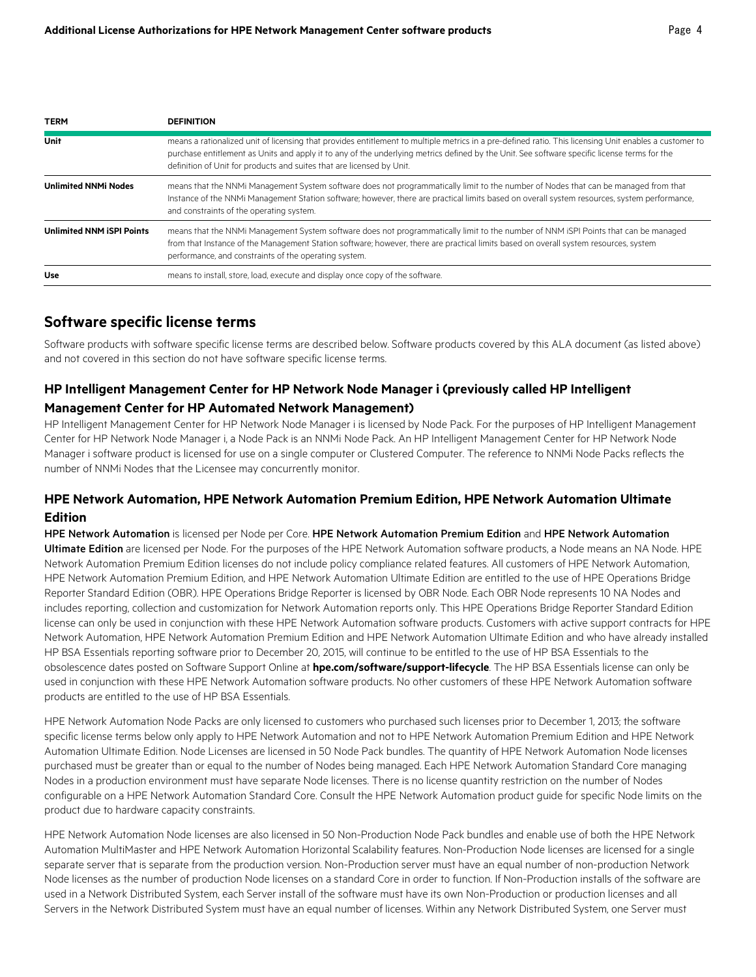| <b>TERM</b>                      | <b>DEFINITION</b>                                                                                                                                                                                                                                                                                                                                                               |
|----------------------------------|---------------------------------------------------------------------------------------------------------------------------------------------------------------------------------------------------------------------------------------------------------------------------------------------------------------------------------------------------------------------------------|
| <b>Unit</b>                      | means a rationalized unit of licensing that provides entitlement to multiple metrics in a pre-defined ratio. This licensing Unit enables a customer to<br>purchase entitlement as Units and apply it to any of the underlying metrics defined by the Unit. See software specific license terms for the<br>definition of Unit for products and suites that are licensed by Unit. |
| <b>Unlimited NNMi Nodes</b>      | means that the NNMi Management System software does not programmatically limit to the number of Nodes that can be managed from that<br>Instance of the NNMi Management Station software; however, there are practical limits based on overall system resources, system performance,<br>and constraints of the operating system.                                                 |
| <b>Unlimited NNM ISPI Points</b> | means that the NNMi Management System software does not programmatically limit to the number of NNM ISPI Points that can be managed<br>from that Instance of the Management Station software; however, there are practical limits based on overall system resources, system<br>performance, and constraints of the operating system.                                            |
| <b>Use</b>                       | means to install, store, load, execute and display once copy of the software.                                                                                                                                                                                                                                                                                                   |

# **Software specific license terms**

Software products with software specific license terms are described below. Software products covered by this ALA document (as listed above) and not covered in this section do not have software specific license terms.

# **HP Intelligent Management Center for HP Network Node Manager i (previously called HP Intelligent Management Center for HP Automated Network Management)**

HP Intelligent Management Center for HP Network Node Manager i is licensed by Node Pack. For the purposes of HP Intelligent Management Center for HP Network Node Manager i, a Node Pack is an NNMi Node Pack. An HP Intelligent Management Center for HP Network Node Manager i software product is licensed for use on a single computer or Clustered Computer. The reference to NNMi Node Packs reflects the number of NNMi Nodes that the Licensee may concurrently monitor.

# **HPE Network Automation, HPE Network Automation Premium Edition, HPE Network Automation Ultimate Edition**

HPE Network Automation is licensed per Node per Core. HPE Network Automation Premium Edition and HPE Network Automation Ultimate Edition are licensed per Node. For the purposes of the HPE Network Automation software products, a Node means an NA Node. HPE Network Automation Premium Edition licenses do not include policy compliance related features. All customers of HPE Network Automation, HPE Network Automation Premium Edition, and HPE Network Automation Ultimate Edition are entitled to the use of HPE Operations Bridge Reporter Standard Edition (OBR). HPE Operations Bridge Reporter is licensed by OBR Node. Each OBR Node represents 10 NA Nodes and includes reporting, collection and customization for Network Automation reports only. This HPE Operations Bridge Reporter Standard Edition license can only be used in conjunction with these HPE Network Automation software products. Customers with active support contracts for HPE Network Automation, HPE Network Automation Premium Edition and HPE Network Automation Ultimate Edition and who have already installed HP BSA Essentials reporting software prior to December 20, 2015, will continue to be entitled to the use of HP BSA Essentials to the obsolescence dates posted on Software Support Online at **[hpe.com/software/support-lifecycle](http://www.hpe.com/software/support-lifecycle)**. The HP BSA Essentials license can only be used in conjunction with these HPE Network Automation software products. No other customers of these HPE Network Automation software products are entitled to the use of HP BSA Essentials.

HPE Network Automation Node Packs are only licensed to customers who purchased such licenses prior to December 1, 2013; the software specific license terms below only apply to HPE Network Automation and not to HPE Network Automation Premium Edition and HPE Network Automation Ultimate Edition. Node Licenses are licensed in 50 Node Pack bundles. The quantity of HPE Network Automation Node licenses purchased must be greater than or equal to the number of Nodes being managed. Each HPE Network Automation Standard Core managing Nodes in a production environment must have separate Node licenses. There is no license quantity restriction on the number of Nodes configurable on a HPE Network Automation Standard Core. Consult the HPE Network Automation product guide for specific Node limits on the product due to hardware capacity constraints.

HPE Network Automation Node licenses are also licensed in 50 Non-Production Node Pack bundles and enable use of both the HPE Network Automation MultiMaster and HPE Network Automation Horizontal Scalability features. Non-Production Node licenses are licensed for a single separate server that is separate from the production version. Non-Production server must have an equal number of non-production Network Node licenses as the number of production Node licenses on a standard Core in order to function. If Non-Production installs of the software are used in a Network Distributed System, each Server install of the software must have its own Non-Production or production licenses and all Servers in the Network Distributed System must have an equal number of licenses. Within any Network Distributed System, one Server must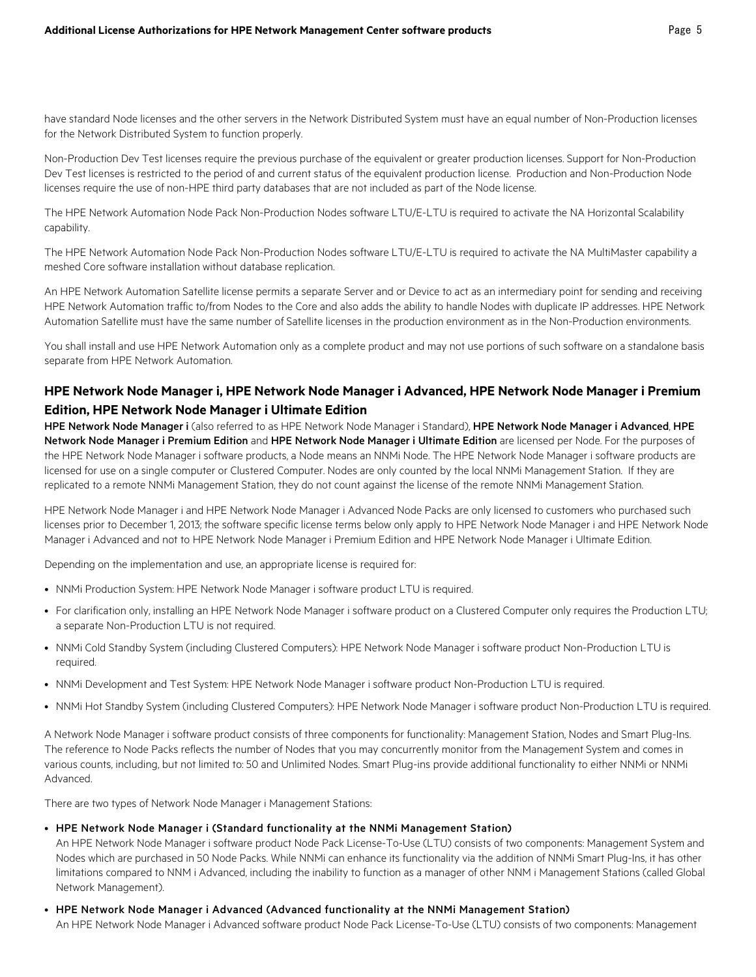have standard Node licenses and the other servers in the Network Distributed System must have an equal number of Non-Production licenses for the Network Distributed System to function properly.

Non-Production Dev Test licenses require the previous purchase of the equivalent or greater production licenses. Support for Non-Production Dev Test licenses is restricted to the period of and current status of the equivalent production license. Production and Non-Production Node licenses require the use of non-HPE third party databases that are not included as part of the Node license.

The HPE Network Automation Node Pack Non-Production Nodes software LTU/E-LTU is required to activate the NA Horizontal Scalability capability.

The HPE Network Automation Node Pack Non-Production Nodes software LTU/E-LTU is required to activate the NA MultiMaster capability a meshed Core software installation without database replication.

An HPE Network Automation Satellite license permits a separate Server and or Device to act as an intermediary point for sending and receiving HPE Network Automation traffic to/from Nodes to the Core and also adds the ability to handle Nodes with duplicate IP addresses. HPE Network Automation Satellite must have the same number of Satellite licenses in the production environment as in the Non-Production environments.

You shall install and use HPE Network Automation only as a complete product and may not use portions of such software on a standalone basis separate from HPE Network Automation.

### **HPE Network Node Manager i, HPE Network Node Manager i Advanced, HPE Network Node Manager i Premium Edition, HPE Network Node Manager i Ultimate Edition**

HPE Network Node Manager i (also referred to as HPE Network Node Manager i Standard), HPE Network Node Manager i Advanced, HPE Network Node Manager i Premium Edition and HPE Network Node Manager i Ultimate Edition are licensed per Node. For the purposes of the HPE Network Node Manager i software products, a Node means an NNMi Node. The HPE Network Node Manager i software products are licensed for use on a single computer or Clustered Computer. Nodes are only counted by the local NNMi Management Station. If they are replicated to a remote NNMi Management Station, they do not count against the license of the remote NNMi Management Station.

HPE Network Node Manager i and HPE Network Node Manager i Advanced Node Packs are only licensed to customers who purchased such licenses prior to December 1, 2013; the software specific license terms below only apply to HPE Network Node Manager i and HPE Network Node Manager i Advanced and not to HPE Network Node Manager i Premium Edition and HPE Network Node Manager i Ultimate Edition.

Depending on the implementation and use, an appropriate license is required for:

- NNMi Production System: HPE Network Node Manager i software product LTU is required.
- For clarification only, installing an HPE Network Node Manager i software product on a Clustered Computer only requires the Production LTU; a separate Non-Production LTU is not required.
- NNMi Cold Standby System (including Clustered Computers): HPE Network Node Manager i software product Non-Production LTU is required.
- NNMi Development and Test System: HPE Network Node Manager i software product Non-Production LTU is required.
- NNMi Hot Standby System (including Clustered Computers): HPE Network Node Manager i software product Non-Production LTU is required.

A Network Node Manager i software product consists of three components for functionality: Management Station, Nodes and Smart Plug-Ins. The reference to Node Packs reflects the number of Nodes that you may concurrently monitor from the Management System and comes in various counts, including, but not limited to: 50 and Unlimited Nodes. Smart Plug-ins provide additional functionality to either NNMi or NNMi Advanced.

There are two types of Network Node Manager i Management Stations:

#### • HPE Network Node Manager i (Standard functionality at the NNMi Management Station)

An HPE Network Node Manager i software product Node Pack License-To-Use (LTU) consists of two components: Management System and Nodes which are purchased in 50 Node Packs. While NNMi can enhance its functionality via the addition of NNMi Smart Plug-Ins, it has other limitations compared to NNM i Advanced, including the inability to function as a manager of other NNM i Management Stations (called Global Network Management).

#### • HPE Network Node Manager i Advanced (Advanced functionality at the NNMi Management Station)

An HPE Network Node Manager i Advanced software product Node Pack License-To-Use (LTU) consists of two components: Management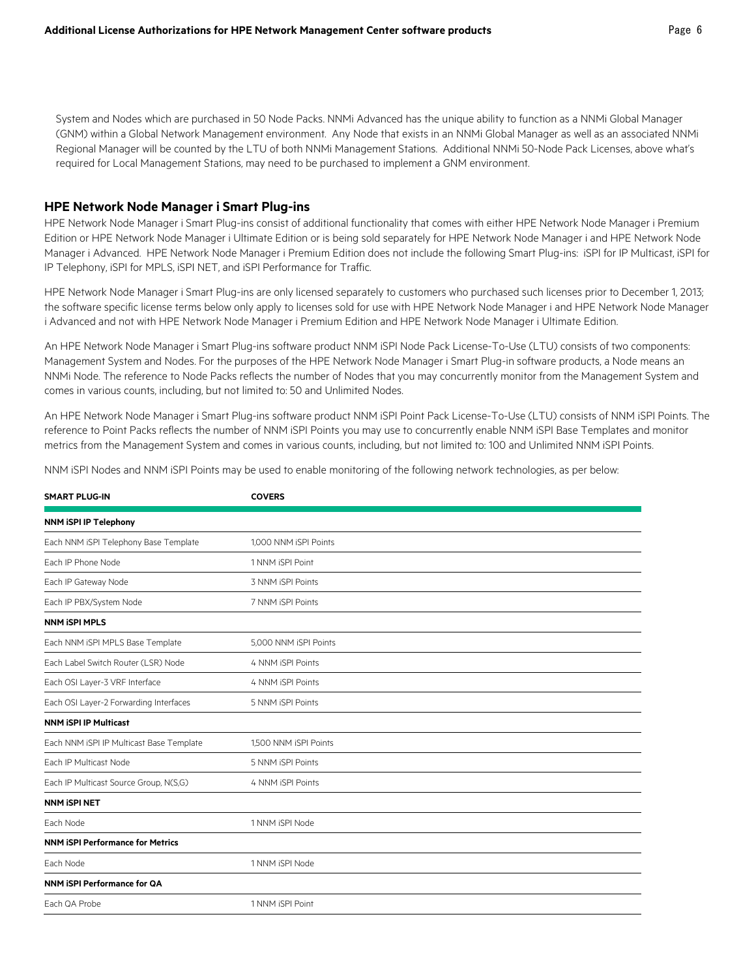System and Nodes which are purchased in 50 Node Packs. NNMi Advanced has the unique ability to function as a NNMi Global Manager (GNM) within a Global Network Management environment. Any Node that exists in an NNMi Global Manager as well as an associated NNMi Regional Manager will be counted by the LTU of both NNMi Management Stations. Additional NNMi 50-Node Pack Licenses, above what's required for Local Management Stations, may need to be purchased to implement a GNM environment.

#### **HPE Network Node Manager i Smart Plug-ins**

HPE Network Node Manager i Smart Plug-ins consist of additional functionality that comes with either HPE Network Node Manager i Premium Edition or HPE Network Node Manager i Ultimate Edition or is being sold separately for HPE Network Node Manager i and HPE Network Node Manager i Advanced. HPE Network Node Manager i Premium Edition does not include the following Smart Plug-ins: iSPI for IP Multicast, iSPI for IP Telephony, iSPI for MPLS, iSPI NET, and iSPI Performance for Traffic.

HPE Network Node Manager i Smart Plug-ins are only licensed separately to customers who purchased such licenses prior to December 1, 2013; the software specific license terms below only apply to licenses sold for use with HPE Network Node Manager i and HPE Network Node Manager i Advanced and not with HPE Network Node Manager i Premium Edition and HPE Network Node Manager i Ultimate Edition.

An HPE Network Node Manager i Smart Plug-ins software product NNM iSPI Node Pack License-To-Use (LTU) consists of two components: Management System and Nodes. For the purposes of the HPE Network Node Manager i Smart Plug-in software products, a Node means an NNMi Node. The reference to Node Packs reflects the number of Nodes that you may concurrently monitor from the Management System and comes in various counts, including, but not limited to: 50 and Unlimited Nodes.

An HPE Network Node Manager i Smart Plug-ins software product NNM iSPI Point Pack License-To-Use (LTU) consists of NNM iSPI Points. The reference to Point Packs reflects the number of NNM iSPI Points you may use to concurrently enable NNM iSPI Base Templates and monitor metrics from the Management System and comes in various counts, including, but not limited to: 100 and Unlimited NNM iSPI Points.

NNM iSPI Nodes and NNM iSPI Points may be used to enable monitoring of the following network technologies, as per below:

| 1.000 NNM ISPI Points<br>1 NNM iSPI Point |
|-------------------------------------------|
|                                           |
|                                           |
|                                           |
| 3 NNM iSPI Points                         |
| 7 NNM iSPI Points                         |
|                                           |
| 5,000 NNM iSPI Points                     |
| 4 NNM iSPI Points                         |
| 4 NNM iSPI Points                         |
| 5 NNM iSPI Points                         |
|                                           |
| 1,500 NNM iSPI Points                     |
| 5 NNM iSPI Points                         |
| 4 NNM iSPI Points                         |
|                                           |
| 1 NNM iSPI Node                           |
|                                           |
| 1 NNM iSPI Node                           |
|                                           |
| 1 NNM iSPI Point                          |
|                                           |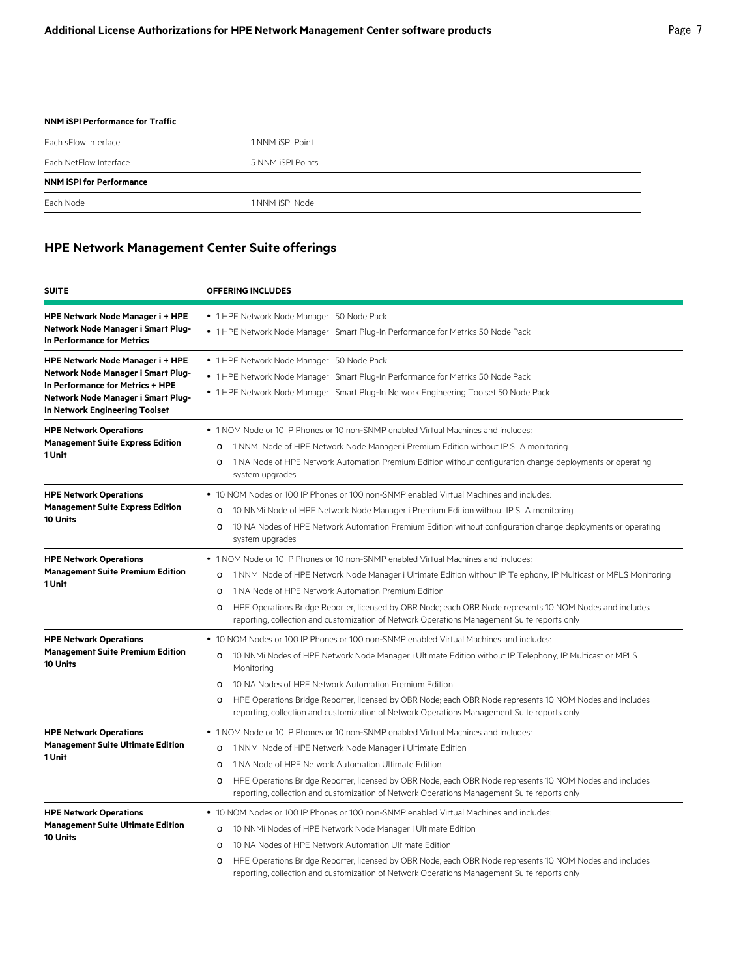| NNM ISPI Performance for Traffic |                   |  |
|----------------------------------|-------------------|--|
| Each sFlow Interface             | 1 NNM iSPI Point  |  |
| Each NetFlow Interface           | 5 NNM iSPI Points |  |
| <b>NNM ISPI for Performance</b>  |                   |  |
| Each Node                        | 1 NNM iSPI Node   |  |

# **HPE Network Management Center Suite offerings**

| <b>SUITE</b>                                                                                                                                                                              | <b>OFFERING INCLUDES</b>                                                                                                                                                                                                                                                                                                                                                                                                                                                                                              |
|-------------------------------------------------------------------------------------------------------------------------------------------------------------------------------------------|-----------------------------------------------------------------------------------------------------------------------------------------------------------------------------------------------------------------------------------------------------------------------------------------------------------------------------------------------------------------------------------------------------------------------------------------------------------------------------------------------------------------------|
| <b>HPE Network Node Manager i + HPE</b><br>Network Node Manager i Smart Plug-<br>In Performance for Metrics                                                                               | • 1 HPE Network Node Manager i 50 Node Pack<br>• 1 HPE Network Node Manager i Smart Plug-In Performance for Metrics 50 Node Pack                                                                                                                                                                                                                                                                                                                                                                                      |
| <b>HPE Network Node Manager i + HPE</b><br>Network Node Manager i Smart Plug-<br>In Performance for Metrics + HPE<br>Network Node Manager i Smart Plug-<br>In Network Engineering Toolset | • 1 HPE Network Node Manager i 50 Node Pack<br>• 1 HPE Network Node Manager i Smart Plug-In Performance for Metrics 50 Node Pack<br>• 1 HPE Network Node Manager i Smart Plug-In Network Engineering Toolset 50 Node Pack                                                                                                                                                                                                                                                                                             |
| <b>HPE Network Operations</b><br><b>Management Suite Express Edition</b><br>1 Unit                                                                                                        | • 1 NOM Node or 10 IP Phones or 10 non-SNMP enabled Virtual Machines and includes:<br>1 NNMi Node of HPE Network Node Manager i Premium Edition without IP SLA monitoring<br>$\circ$<br>1 NA Node of HPE Network Automation Premium Edition without configuration change deployments or operating<br>$\circ$<br>system upgrades                                                                                                                                                                                       |
| <b>HPE Network Operations</b><br><b>Management Suite Express Edition</b><br>10 Units                                                                                                      | • 10 NOM Nodes or 100 IP Phones or 100 non-SNMP enabled Virtual Machines and includes:<br>10 NNMi Node of HPE Network Node Manager i Premium Edition without IP SLA monitoring<br>$\circ$<br>10 NA Nodes of HPE Network Automation Premium Edition without configuration change deployments or operating<br>$\circ$<br>system upgrades                                                                                                                                                                                |
| <b>HPE Network Operations</b><br><b>Management Suite Premium Edition</b><br>1 Unit                                                                                                        | • 1 NOM Node or 10 IP Phones or 10 non-SNMP enabled Virtual Machines and includes:<br>1 NNMi Node of HPE Network Node Manager i Ultimate Edition without IP Telephony, IP Multicast or MPLS Monitoring<br>$\circ$<br>1 NA Node of HPE Network Automation Premium Edition<br>$\circ$<br>HPE Operations Bridge Reporter, licensed by OBR Node; each OBR Node represents 10 NOM Nodes and includes<br>$\circ$<br>reporting, collection and customization of Network Operations Management Suite reports only             |
| <b>HPE Network Operations</b><br><b>Management Suite Premium Edition</b><br>10 Units                                                                                                      | • 10 NOM Nodes or 100 IP Phones or 100 non-SNMP enabled Virtual Machines and includes:<br>10 NNMi Nodes of HPE Network Node Manager i Ultimate Edition without IP Telephony, IP Multicast or MPLS<br>$\circ$<br>Monitoring<br>10 NA Nodes of HPE Network Automation Premium Edition<br>$\Omega$<br>HPE Operations Bridge Reporter, licensed by OBR Node; each OBR Node represents 10 NOM Nodes and includes<br>$\circ$<br>reporting, collection and customization of Network Operations Management Suite reports only |
| <b>HPE Network Operations</b><br><b>Management Suite Ultimate Edition</b><br>1 Unit                                                                                                       | • 1 NOM Node or 10 IP Phones or 10 non-SNMP enabled Virtual Machines and includes:<br>1 NNMi Node of HPE Network Node Manager i Ultimate Edition<br>$\circ$<br>1 NA Node of HPE Network Automation Ultimate Edition<br>$\circ$<br>HPE Operations Bridge Reporter, licensed by OBR Node; each OBR Node represents 10 NOM Nodes and includes<br>$\circ$<br>reporting, collection and customization of Network Operations Management Suite reports only                                                                  |
| <b>HPE Network Operations</b><br><b>Management Suite Ultimate Edition</b><br>10 Units                                                                                                     | • 10 NOM Nodes or 100 IP Phones or 100 non-SNMP enabled Virtual Machines and includes:<br>10 NNMi Nodes of HPE Network Node Manager i Ultimate Edition<br>$\circ$<br>10 NA Nodes of HPE Network Automation Ultimate Edition<br>$\circ$<br>HPE Operations Bridge Reporter, licensed by OBR Node; each OBR Node represents 10 NOM Nodes and includes<br>$\circ$<br>reporting, collection and customization of Network Operations Management Suite reports only                                                          |